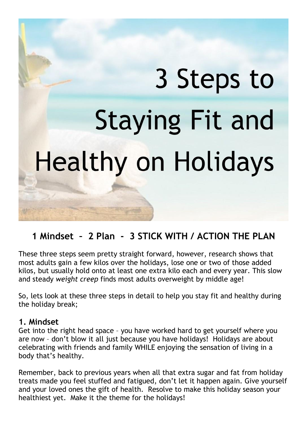# 3 Steps to **Staying Fit and Healthy on Holidays**

# **1 Mindset – 2 Plan - 3 STICK WITH / ACTION THE PLAN**

These three steps seem pretty straight forward, however, research shows that most adults gain a few kilos over the holidays, lose one or two of those added kilos, but usually hold onto at least one extra kilo each and every year. This slow and steady *[weight](https://www.webmd.com/diet/features/surviving-the-holidays) creep* finds most adults [overweight](https://www.webmd.com/diet/obesity/features/am-i-obese) by middle age!

So, lets look at these three steps in detail to help you stay fit and healthy during the holiday break;

#### **1. Mindset**

Get into the right head space – you have worked hard to get yourself where you are now – don't blow it all just because you have holidays! Holidays are about celebrating with friends and family WHILE enjoying the sensation of living in a body that's healthy.

Remember, back to previous years when all that extra sugar and fat from holiday treats made you feel stuffed and fatigued, don't let it happen again. Give yourself and your loved ones the gift of health. Resolve to make this holiday season your healthiest yet. Make it the theme for the holidays!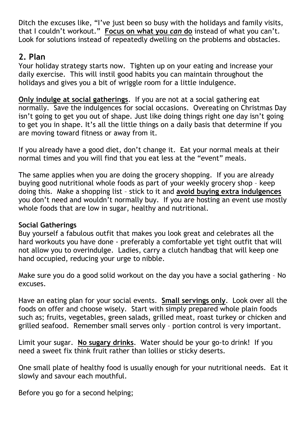Ditch the excuses like, "I've just been so busy with the holidays and family visits, that I couldn't workout." **Focus on what you** *can* **do** instead of what you can't. Look for solutions instead of repeatedly dwelling on the problems and obstacles.

### **2. Plan**

Your holiday strategy starts now. Tighten up on your eating and increase your daily exercise. This will instil good habits you can maintain throughout the holidays and gives you a bit of wriggle room for a little indulgence.

**Only indulge at social gatherings**. If you are not at a social gathering eat normally. Save the indulgences for social occasions. Overeating on Christmas Day isn't going to get you out of shape. Just like doing things right one day isn't going to get you in shape. It's all the little things on a daily basis that determine if you are moving toward fitness or away from it.

If you already have a good diet, don't change it. Eat your normal meals at their normal times and you will find that you eat less at the "event" meals.

The same applies when you are doing the grocery shopping. If you are already buying good nutritional whole foods as part of your weekly grocery shop – keep doing this. Make a shopping list – stick to it and **avoid buying extra indulgences** you don't need and wouldn't normally buy. If you are hosting an event use mostly whole foods that are low in sugar, healthy and nutritional.

#### **Social Gatherings**

Buy yourself a fabulous outfit that makes you look great and celebrates all the hard workouts you have done - preferably a comfortable yet tight outfit that will not allow you to overindulge. Ladies, carry a clutch handbag that will keep one hand occupied, reducing your urge to nibble.

Make sure you do a good solid workout on the day you have a social gathering – No excuses.

Have an eating plan for your social events. **Small servings only**. Look over all the foods on offer and choose wisely. Start with simply prepared whole plain foods such as; fruits, vegetables, green salads, grilled meat, roast turkey or chicken and grilled seafood. Remember small serves only – portion control is very important.

Limit your sugar. **No sugary drinks**. Water should be your go-to drink! If you need a sweet fix think fruit rather than lollies or sticky deserts.

One small plate of healthy food is usually enough for your nutritional needs. Eat it slowly and savour each mouthful.

Before you go for a second helping;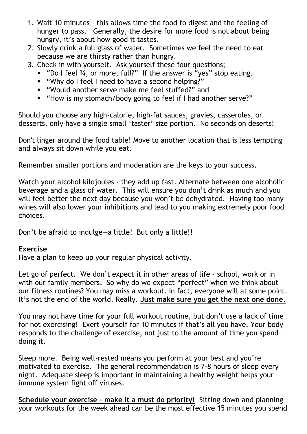- 1. Wait 10 minutes this allows time the food to digest and the feeling of hunger to pass. Generally, the desire for more food is not about being hungry, it's about how good it tastes.
- 2. Slowly drink a full glass of water. Sometimes we feel the need to eat because we are thirsty rather than hungry.
- 3. Check in with yourself. Ask yourself these four questions;
	- **•** "Do I feel  $\frac{3}{4}$ , or more, full?" If the answer is "yes" stop eating.
	- "Why do I feel I need to have a second helping?"
	- "Would another serve make me feel stuffed?" and
	- "How is my stomach/body going to feel if I had another serve?"

Should you choose any high-calorie, high-fat sauces, gravies, casseroles, or desserts, only have a single small 'taster' size portion. No seconds on deserts!

Don't linger around the food table! Move to another location that is less tempting and always sit down while you eat.

Remember smaller portions and moderation are the keys to your success.

Watch your alcohol kilojoules - they add up fast. Alternate between one alcoholic beverage and a glass of water. This will ensure you don't drink as much and you will feel better the next day because you won't be dehydrated. Having too many wines will also lower your inhibitions and lead to you making extremely poor food choices.

Don't be afraid to indulge—a little! But only a little!!

#### **Exercise**

Have a plan to keep up your regular physical activity.

Let go of perfect. We don't expect it in other areas of life – school, work or in with our family members. So why do we expect "perfect" when we think about our fitness routines? You may miss a workout. In fact, everyone will at some point. It's not the end of the world. Really. **Just make sure you get the next one done**.

You may not have time for your full workout routine, but don't use a lack of time for not exercising! Exert yourself for 10 minutes if that's all you have. Your body responds to the challenge of exercise, not just to the amount of time you spend doing it.

Sleep more. Being well-rested means you perform at your best and you're motivated to exercise. The general recommendation is 7-8 hours of sleep every night. Adequate sleep is important in maintaining a healthy weight helps your immune system fight off viruses.

**Schedule your exercise - make it a must do priority!** Sitting down and planning your workouts for the week ahead can be the most effective 15 minutes you spend